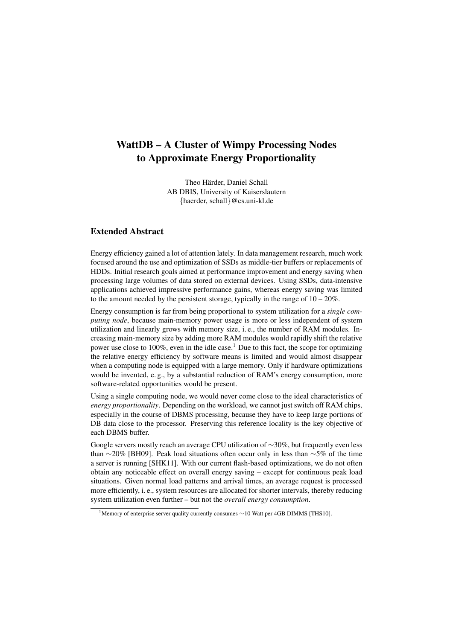## WattDB – A Cluster of Wimpy Processing Nodes to Approximate Energy Proportionality

Theo Härder, Daniel Schall AB DBIS, University of Kaiserslautern {haerder, schall}@cs.uni-kl.de

## Extended Abstract

Energy efficiency gained a lot of attention lately. In data management research, much work focused around the use and optimization of SSDs as middle-tier buffers or replacements of HDDs. Initial research goals aimed at performance improvement and energy saving when processing large volumes of data stored on external devices. Using SSDs, data-intensive applications achieved impressive performance gains, whereas energy saving was limited to the amount needed by the persistent storage, typically in the range of  $10 - 20\%$ .

Energy consumption is far from being proportional to system utilization for a *single computing node*, because main-memory power usage is more or less independent of system utilization and linearly grows with memory size, i. e., the number of RAM modules. Increasing main-memory size by adding more RAM modules would rapidly shift the relative power use close to 100%, even in the idle case.<sup>1</sup> Due to this fact, the scope for optimizing the relative energy efficiency by software means is limited and would almost disappear when a computing node is equipped with a large memory. Only if hardware optimizations would be invented, e.g., by a substantial reduction of RAM's energy consumption, more software-related opportunities would be present.

Using a single computing node, we would never come close to the ideal characteristics of *energy proportionality*. Depending on the workload, we cannot just switch off RAM chips, especially in the course of DBMS processing, because they have to keep large portions of DB data close to the processor. Preserving this reference locality is the key objective of each DBMS buffer.

Google servers mostly reach an average CPU utilization of ∼30%, but frequently even less than ∼20% [BH09]. Peak load situations often occur only in less than ∼5% of the time a server is running [SHK11]. With our current flash-based optimizations, we do not often obtain any noticeable effect on overall energy saving – except for continuous peak load situations. Given normal load patterns and arrival times, an average request is processed more efficiently, i. e., system resources are allocated for shorter intervals, thereby reducing system utilization even further – but not the *overall energy consumption*.

<sup>1</sup>Memory of enterprise server quality currently consumes ∼10 Watt per 4GB DIMMS [THS10].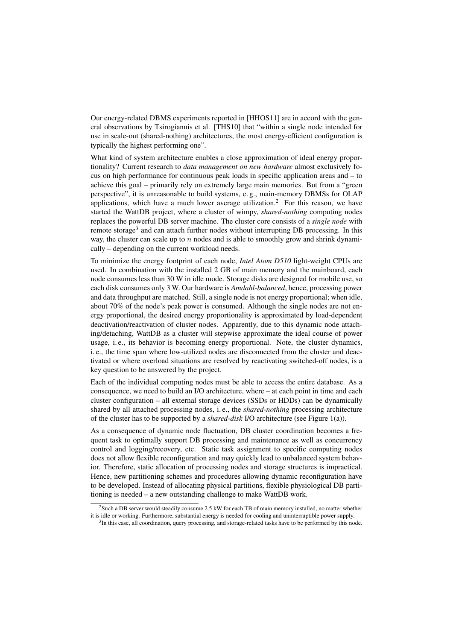Our energy-related DBMS experiments reported in [HHOS11] are in accord with the general observations by Tsirogiannis et al. [THS10] that "within a single node intended for use in scale-out (shared-nothing) architectures, the most energy-efficient configuration is typically the highest performing one".

What kind of system architecture enables a close approximation of ideal energy proportionality? Current research to *data management on new hardware* almost exclusively focus on high performance for continuous peak loads in specific application areas and – to achieve this goal – primarily rely on extremely large main memories. But from a "green perspective", it is unreasonable to build systems, e. g., main-memory DBMSs for OLAP applications, which have a much lower average utilization.<sup>2</sup> For this reason, we have started the WattDB project, where a cluster of wimpy, *shared-nothing* computing nodes replaces the powerful DB server machine. The cluster core consists of a *single node* with remote storage<sup>3</sup> and can attach further nodes without interrupting DB processing. In this way, the cluster can scale up to n nodes and is able to smoothly grow and shrink dynamically – depending on the current workload needs.

To minimize the energy footprint of each node, *Intel Atom D510* light-weight CPUs are used. In combination with the installed 2 GB of main memory and the mainboard, each node consumes less than 30 W in idle mode. Storage disks are designed for mobile use, so each disk consumes only 3 W. Our hardware is *Amdahl-balanced*, hence, processing power and data throughput are matched. Still, a single node is not energy proportional; when idle, about 70% of the node's peak power is consumed. Although the single nodes are not energy proportional, the desired energy proportionality is approximated by load-dependent deactivation/reactivation of cluster nodes. Apparently, due to this dynamic node attaching/detaching, WattDB as a cluster will stepwise approximate the ideal course of power usage, i. e., its behavior is becoming energy proportional. Note, the cluster dynamics, i. e., the time span where low-utilized nodes are disconnected from the cluster and deactivated or where overload situations are resolved by reactivating switched-off nodes, is a key question to be answered by the project.

Each of the individual computing nodes must be able to access the entire database. As a consequence, we need to build an I/O architecture, where – at each point in time and each cluster configuration – all external storage devices (SSDs or HDDs) can be dynamically shared by all attached processing nodes, i. e., the *shared-nothing* processing architecture of the cluster has to be supported by a *shared-disk* I/O architecture (see Figure 1(a)).

As a consequence of dynamic node fluctuation, DB cluster coordination becomes a frequent task to optimally support DB processing and maintenance as well as concurrency control and logging/recovery, etc. Static task assignment to specific computing nodes does not allow flexible reconfiguration and may quickly lead to unbalanced system behavior. Therefore, static allocation of processing nodes and storage structures is impractical. Hence, new partitioning schemes and procedures allowing dynamic reconfiguration have to be developed. Instead of allocating physical partitions, flexible physiological DB partitioning is needed – a new outstanding challenge to make WattDB work.

<sup>&</sup>lt;sup>2</sup>Such a DB server would steadily consume 2.5 kW for each TB of main memory installed, no matter whether it is idle or working. Furthermore, substantial energy is needed for cooling and uninterruptible power supply.

<sup>&</sup>lt;sup>3</sup>In this case, all coordination, query processing, and storage-related tasks have to be performed by this node.